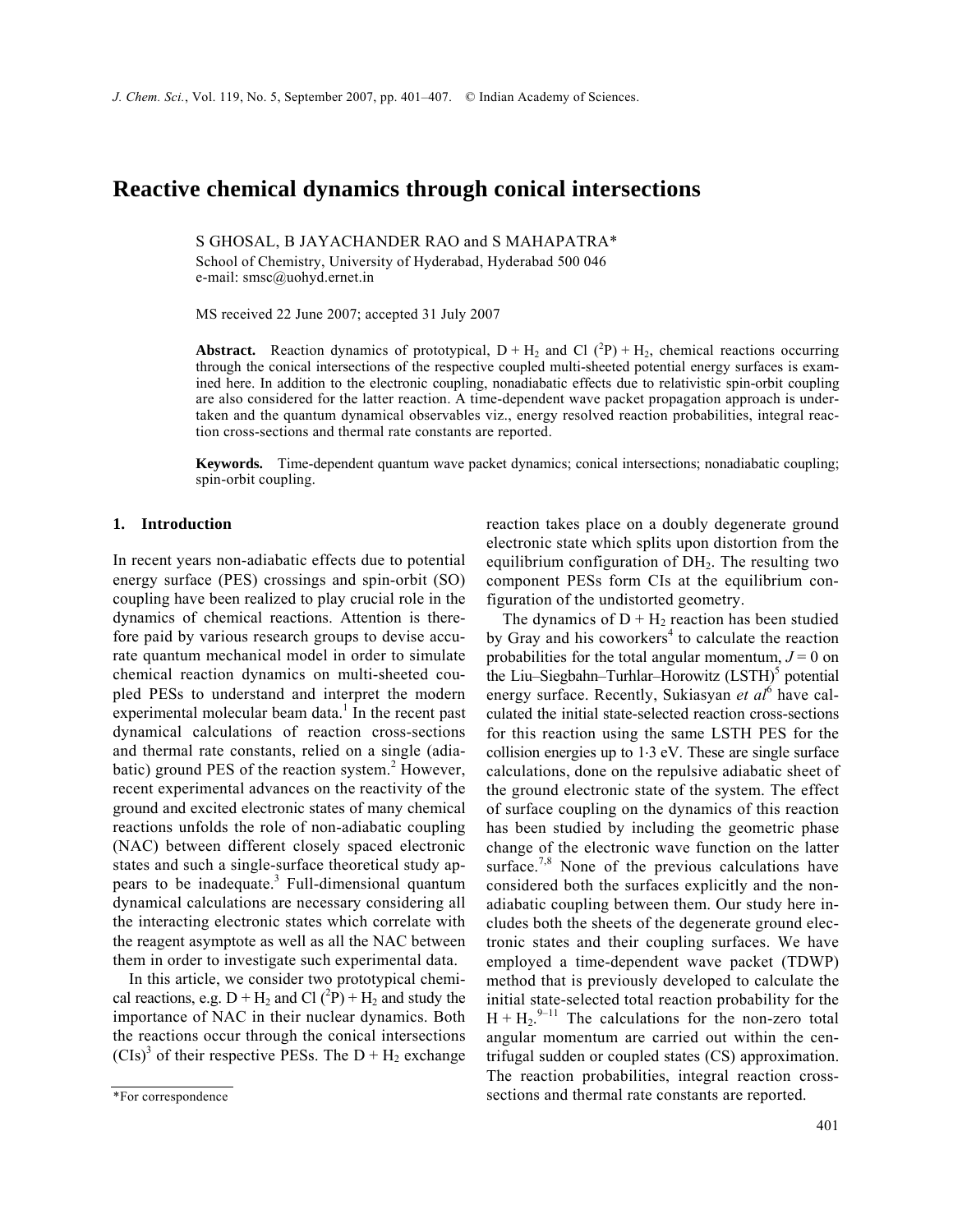# **Reactive chemical dynamics through conical intersections**

S GHOSAL, B JAYACHANDER RAO and S MAHAPATRA\* School of Chemistry, University of Hyderabad, Hyderabad 500 046 e-mail: smsc@uohyd.ernet.in

MS received 22 June 2007; accepted 31 July 2007

**Abstract.** Reaction dynamics of prototypical,  $D + H_2$  and Cl  $(^2P) + H_2$ , chemical reactions occurring through the conical intersections of the respective coupled multi-sheeted potential energy surfaces is examined here. In addition to the electronic coupling, nonadiabatic effects due to relativistic spin-orbit coupling are also considered for the latter reaction. A time-dependent wave packet propagation approach is undertaken and the quantum dynamical observables viz., energy resolved reaction probabilities, integral reaction cross-sections and thermal rate constants are reported.

**Keywords.** Time-dependent quantum wave packet dynamics; conical intersections; nonadiabatic coupling; spin-orbit coupling.

## **1. Introduction**

In recent years non-adiabatic effects due to potential energy surface (PES) crossings and spin-orbit (SO) coupling have been realized to play crucial role in the dynamics of chemical reactions. Attention is therefore paid by various research groups to devise accurate quantum mechanical model in order to simulate chemical reaction dynamics on multi-sheeted coupled PESs to understand and interpret the modern experimental molecular beam data. $<sup>1</sup>$  In the recent past</sup> dynamical calculations of reaction cross-sections and thermal rate constants, relied on a single (adiabatic) ground PES of the reaction system. $2$  However, recent experimental advances on the reactivity of the ground and excited electronic states of many chemical reactions unfolds the role of non-adiabatic coupling (NAC) between different closely spaced electronic states and such a single-surface theoretical study appears to be inadequate.<sup>3</sup> Full-dimensional quantum dynamical calculations are necessary considering all the interacting electronic states which correlate with the reagent asymptote as well as all the NAC between them in order to investigate such experimental data.

 In this article, we consider two prototypical chemical reactions, e.g.  $D + H_2$  and Cl  $(^{2}P) + H_2$  and study the importance of NAC in their nuclear dynamics. Both the reactions occur through the conical intersections  $(CIs)^3$  of their respective PESs. The D + H<sub>2</sub> exchange reaction takes place on a doubly degenerate ground electronic state which splits upon distortion from the equilibrium configuration of  $DH<sub>2</sub>$ . The resulting two component PESs form CIs at the equilibrium configuration of the undistorted geometry.

The dynamics of  $D + H_2$  reaction has been studied by Gray and his coworkers<sup>4</sup> to calculate the reaction probabilities for the total angular momentum,  $J = 0$  on the Liu–Siegbahn–Turhlar–Horowitz (LSTH)<sup>5</sup> potential energy surface. Recently, Sukiasyan *et al*<sup>6</sup> have calculated the initial state-selected reaction cross-sections for this reaction using the same LSTH PES for the collision energies up to 1⋅3 eV. These are single surface calculations, done on the repulsive adiabatic sheet of the ground electronic state of the system. The effect of surface coupling on the dynamics of this reaction has been studied by including the geometric phase change of the electronic wave function on the latter surface.<sup>7,8</sup> None of the previous calculations have considered both the surfaces explicitly and the nonadiabatic coupling between them. Our study here includes both the sheets of the degenerate ground electronic states and their coupling surfaces. We have employed a time-dependent wave packet (TDWP) method that is previously developed to calculate the initial state-selected total reaction probability for the  $H + H_2$ <sup>9-11</sup> The calculations for the non-zero total angular momentum are carried out within the centrifugal sudden or coupled states (CS) approximation. The reaction probabilities, integral reaction crosssections and thermal rate constants are reported.

<sup>\*</sup>For correspondence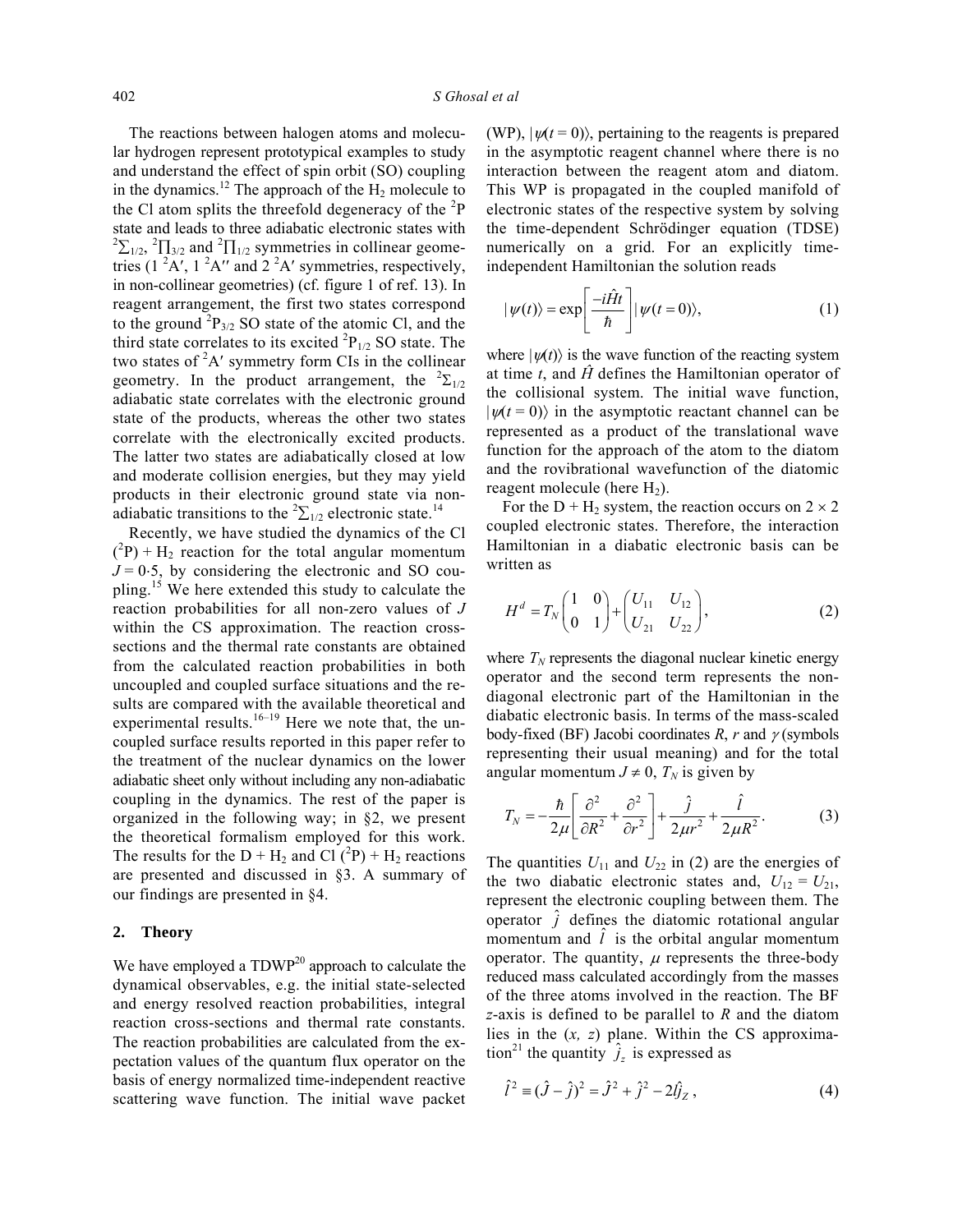The reactions between halogen atoms and molecular hydrogen represent prototypical examples to study and understand the effect of spin orbit (SO) coupling in the dynamics.<sup>12</sup> The approach of the  $H_2$  molecule to the Cl atom splits the threefold degeneracy of the  ${}^{2}P$ state and leads to three adiabatic electronic states with  ${}^{2}\Sigma_{1/2}$ ,  ${}^{2}\Pi_{3/2}$  and  ${}^{2}\Pi_{1/2}$  symmetries in collinear geometries (1 $^{2}$ A', 1 $^{2}$ A'' and 2 $^{2}$ A' symmetries, respectively, in non-collinear geometries) (cf. figure 1 of ref. 13). In reagent arrangement, the first two states correspond to the ground  ${}^{2}P_{3/2}$  SO state of the atomic Cl, and the third state correlates to its excited  ${}^{2}P_{1/2}$  SO state. The two states of  ${}^{2}A'$  symmetry form CIs in the collinear geometry. In the product arrangement, the  ${}^{2}\Sigma_{1/2}$ adiabatic state correlates with the electronic ground state of the products, whereas the other two states correlate with the electronically excited products. The latter two states are adiabatically closed at low and moderate collision energies, but they may yield products in their electronic ground state via nonadiabatic transitions to the  ${}^{2}\Sigma_{1/2}$  electronic state.<sup>14</sup>

 Recently, we have studied the dynamics of the Cl  $(^{2}P) + H_2$  reaction for the total angular momentum  $J = 0.5$ , by considering the electronic and SO coupling.<sup>15</sup> We here extended this study to calculate the reaction probabilities for all non-zero values of *J* within the CS approximation. The reaction crosssections and the thermal rate constants are obtained from the calculated reaction probabilities in both uncoupled and coupled surface situations and the results are compared with the available theoretical and experimental results.<sup>16–19</sup> Here we note that, the uncoupled surface results reported in this paper refer to the treatment of the nuclear dynamics on the lower adiabatic sheet only without including any non-adiabatic coupling in the dynamics. The rest of the paper is organized in the following way; in §2, we present the theoretical formalism employed for this work. The results for the  $D + H_2$  and Cl  $(^2P) + H_2$  reactions are presented and discussed in §3. A summary of our findings are presented in §4.

## **2. Theory**

We have employed a  $TDWP^{20}$  approach to calculate the dynamical observables, e.g. the initial state-selected and energy resolved reaction probabilities, integral reaction cross-sections and thermal rate constants. The reaction probabilities are calculated from the expectation values of the quantum flux operator on the basis of energy normalized time-independent reactive scattering wave function. The initial wave packet (WP),  $|\psi(t=0)\rangle$ , pertaining to the reagents is prepared in the asymptotic reagent channel where there is no interaction between the reagent atom and diatom. This WP is propagated in the coupled manifold of electronic states of the respective system by solving the time-dependent Schrödinger equation (TDSE) numerically on a grid. For an explicitly timeindependent Hamiltonian the solution reads

$$
|\psi(t)\rangle = \exp\left[\frac{-i\hat{H}t}{\hbar}\right]|\psi(t=0)\rangle, \tag{1}
$$

where  $|\psi(t)\rangle$  is the wave function of the reacting system at time *t*, and *Ĥ* defines the Hamiltonian operator of the collisional system. The initial wave function,  $|\psi(t=0)\rangle$  in the asymptotic reactant channel can be represented as a product of the translational wave function for the approach of the atom to the diatom and the rovibrational wavefunction of the diatomic reagent molecule (here  $H_2$ ).

For the D + H<sub>2</sub> system, the reaction occurs on  $2 \times 2$ coupled electronic states. Therefore, the interaction Hamiltonian in a diabatic electronic basis can be written as

$$
H^{d} = T_{N} \begin{pmatrix} 1 & 0 \\ 0 & 1 \end{pmatrix} + \begin{pmatrix} U_{11} & U_{12} \\ U_{21} & U_{22} \end{pmatrix},
$$
 (2)

where  $T_N$  represents the diagonal nuclear kinetic energy operator and the second term represents the nondiagonal electronic part of the Hamiltonian in the diabatic electronic basis. In terms of the mass-scaled body-fixed (BF) Jacobi coordinates *R*, *r* and <sup>γ</sup> (symbols representing their usual meaning) and for the total angular momentum  $J \neq 0$ ,  $T_N$  is given by

$$
T_N = -\frac{\hbar}{2\mu} \left[ \frac{\partial^2}{\partial R^2} + \frac{\partial^2}{\partial r^2} \right] + \frac{\hat{j}}{2\mu r^2} + \frac{\hat{l}}{2\mu R^2}.
$$
 (3)

The quantities  $U_{11}$  and  $U_{22}$  in (2) are the energies of the two diabatic electronic states and,  $U_{12} = U_{21}$ , represent the electronic coupling between them. The operator  $\hat{j}$  defines the diatomic rotational angular momentum and  $\hat{l}$  is the orbital angular momentum operator. The quantity,  $\mu$  represents the three-body reduced mass calculated accordingly from the masses of the three atoms involved in the reaction. The BF *z*-axis is defined to be parallel to *R* and the diatom lies in the (*x, z*) plane. Within the CS approximation<sup>21</sup> the quantity  $\hat{j}_z$  is expressed as

$$
\hat{l}^{2} \equiv (\hat{J} - \hat{j})^{2} = \hat{J}^{2} + \hat{j}^{2} - 2\hat{lj}_{Z}, \qquad (4)
$$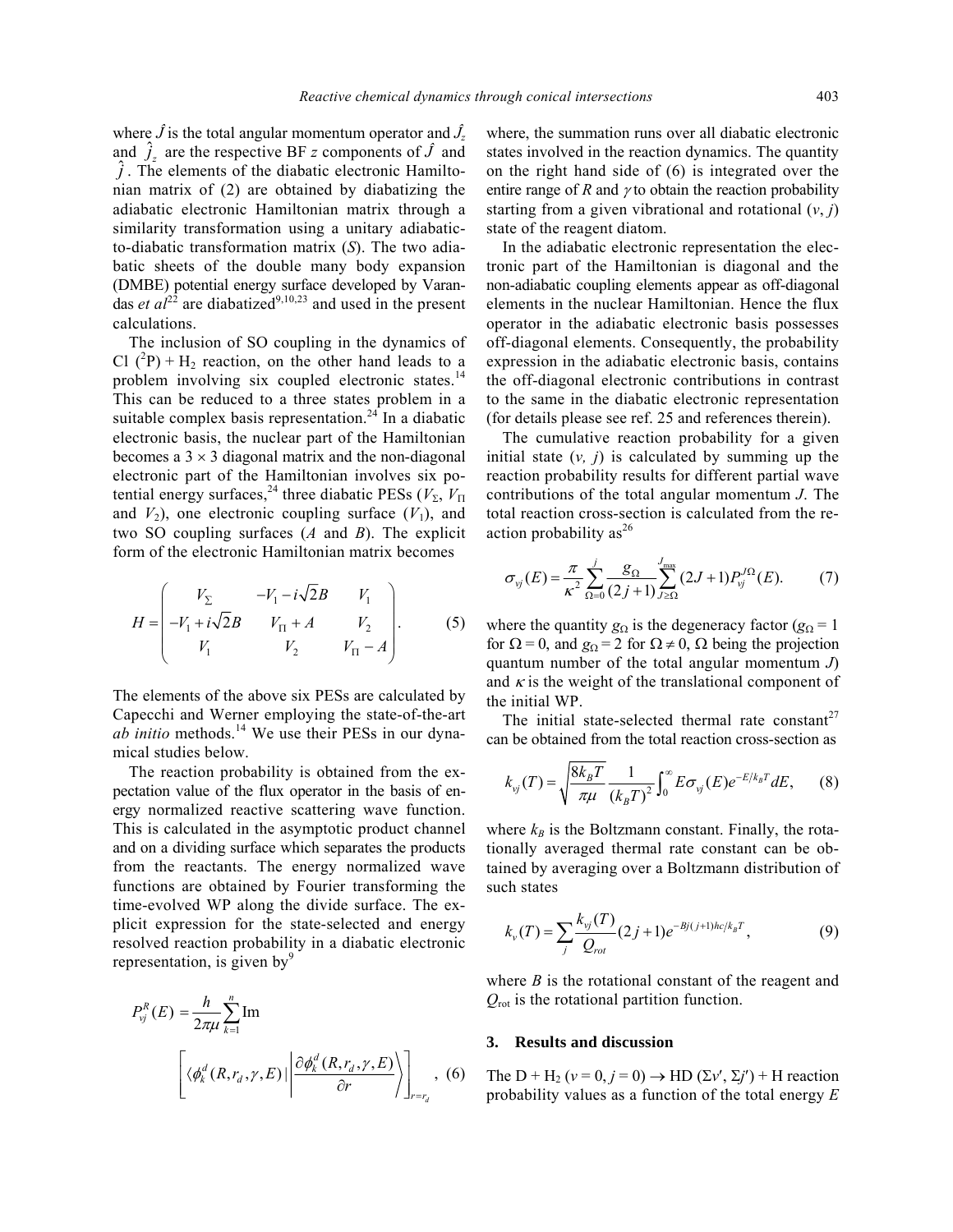where  $\hat{J}$  is the total angular momentum operator and  $\hat{J}_z$ and  $\hat{j}_z$  are the respective BF *z* components of  $\hat{J}$  and  $\hat{j}$ . The elements of the diabatic electronic Hamiltonian matrix of (2) are obtained by diabatizing the adiabatic electronic Hamiltonian matrix through a similarity transformation using a unitary adiabaticto-diabatic transformation matrix (*S*). The two adiabatic sheets of the double many body expansion (DMBE) potential energy surface developed by Varandas *et al*<sup>22</sup> are diabatized<sup>9,10,23</sup> and used in the present calculations.

 The inclusion of SO coupling in the dynamics of Cl  $(^{2}P)$  + H<sub>2</sub> reaction, on the other hand leads to a problem involving six coupled electronic states.<sup>14</sup> This can be reduced to a three states problem in a suitable complex basis representation.<sup>24</sup> In a diabatic electronic basis, the nuclear part of the Hamiltonian becomes a  $3 \times 3$  diagonal matrix and the non-diagonal electronic part of the Hamiltonian involves six potential energy surfaces,<sup>24</sup> three diabatic PESs ( $V_{\Sigma}$ ,  $V_{\Pi}$ ) and  $V_2$ ), one electronic coupling surface  $(V_1)$ , and two SO coupling surfaces (*A* and *B*). The explicit form of the electronic Hamiltonian matrix becomes

$$
H = \begin{pmatrix} V_{\Sigma} & -V_{1} - i\sqrt{2}B & V_{1} \\ -V_{1} + i\sqrt{2}B & V_{\Pi} + A & V_{2} \\ V_{1} & V_{2} & V_{\Pi} - A \end{pmatrix}.
$$
 (5)

The elements of the above six PESs are calculated by Capecchi and Werner employing the state-of-the-art *ab initio* methods.14 We use their PESs in our dynamical studies below.

 The reaction probability is obtained from the expectation value of the flux operator in the basis of energy normalized reactive scattering wave function. This is calculated in the asymptotic product channel and on a dividing surface which separates the products from the reactants. The energy normalized wave functions are obtained by Fourier transforming the time-evolved WP along the divide surface. The explicit expression for the state-selected and energy resolved reaction probability in a diabatic electronic representation, is given by $9$ 

$$
P_{\mathcal{Y}}^{R}(E) = \frac{h}{2\pi\mu} \sum_{k=1}^{n} \text{Im}
$$

$$
\left[ \langle \phi_{k}^{d}(R, r_{d}, \gamma, E) | \left| \frac{\partial \phi_{k}^{d}(R, r_{d}, \gamma, E)}{\partial r} \right\rangle \right]_{r=r_{d}}, \quad (6)
$$

where, the summation runs over all diabatic electronic states involved in the reaction dynamics. The quantity on the right hand side of (6) is integrated over the entire range of  $R$  and  $\gamma$  to obtain the reaction probability starting from a given vibrational and rotational  $(v, j)$ state of the reagent diatom.

 In the adiabatic electronic representation the electronic part of the Hamiltonian is diagonal and the non-adiabatic coupling elements appear as off-diagonal elements in the nuclear Hamiltonian. Hence the flux operator in the adiabatic electronic basis possesses off-diagonal elements. Consequently, the probability expression in the adiabatic electronic basis, contains the off-diagonal electronic contributions in contrast to the same in the diabatic electronic representation (for details please see ref. 25 and references therein).

 The cumulative reaction probability for a given initial state  $(v, j)$  is calculated by summing up the reaction probability results for different partial wave contributions of the total angular momentum *J*. The total reaction cross-section is calculated from the reaction probability  $as^{26}$ 

$$
\sigma_{\mathbf{y}}(E) = \frac{\pi}{\kappa^2} \sum_{\Omega=0}^{j} \frac{g_{\Omega}}{(2j+1)} \sum_{J\geq\Omega}^{J_{\text{max}}}(2J+1) P_{\mathbf{y}}^{J\Omega}(E). \tag{7}
$$

where the quantity  $g_{\Omega}$  is the degeneracy factor ( $g_{\Omega} = 1$ for  $\Omega = 0$ , and  $g_{\Omega} = 2$  for  $\Omega \neq 0$ ,  $\Omega$  being the projection quantum number of the total angular momentum *J*) and  $\kappa$  is the weight of the translational component of the initial WP.

The initial state-selected thermal rate constant<sup>27</sup> can be obtained from the total reaction cross-section as

$$
k_{vj}(T) = \sqrt{\frac{8k_B T}{\pi \mu}} \frac{1}{(k_B T)^2} \int_0^{\infty} E \sigma_{vj}(E) e^{-E/k_B T} dE, \quad (8)
$$

where  $k_B$  is the Boltzmann constant. Finally, the rotationally averaged thermal rate constant can be obtained by averaging over a Boltzmann distribution of such states

$$
k_{\nu}(T) = \sum_{j} \frac{k_{\nu j}(T)}{Q_{rot}} (2j+1) e^{-Bj(j+1)hc/k_B T}, \qquad (9)
$$

where *B* is the rotational constant of the reagent and *Q*rot is the rotational partition function.

## **3. Results and discussion**

The D + H<sub>2</sub> ( $v = 0$ ,  $j = 0$ )  $\rightarrow$  HD ( $\Sigma v'$ ,  $\Sigma j'$ ) + H reaction probability values as a function of the total energy *E*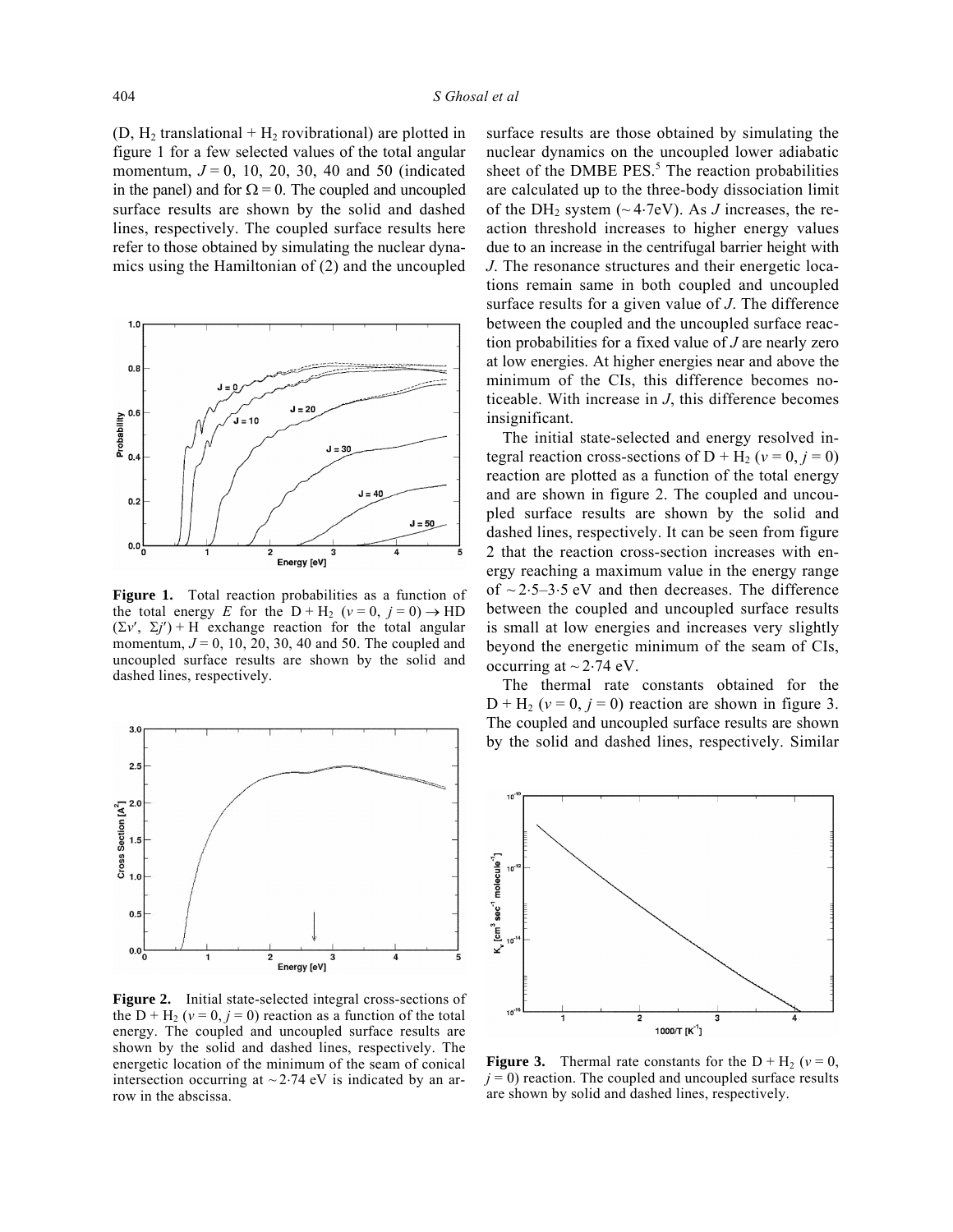(D,  $H_2$  translational +  $H_2$  rovibrational) are plotted in figure 1 for a few selected values of the total angular momentum,  $J = 0$ , 10, 20, 30, 40 and 50 (indicated in the panel) and for  $\Omega = 0$ . The coupled and uncoupled surface results are shown by the solid and dashed lines, respectively. The coupled surface results here refer to those obtained by simulating the nuclear dynamics using the Hamiltonian of (2) and the uncoupled



Figure 1. Total reaction probabilities as a function of the total energy *E* for the D + H<sub>2</sub> ( $v = 0$ ,  $j = 0$ )  $\rightarrow$  HD  $(\Sigma v', \Sigma j')$  + H exchange reaction for the total angular momentum,  $J = 0$ , 10, 20, 30, 40 and 50. The coupled and uncoupled surface results are shown by the solid and dashed lines, respectively.



**Figure 2.** Initial state-selected integral cross-sections of the  $D + H_2$  ( $v = 0, j = 0$ ) reaction as a function of the total energy. The coupled and uncoupled surface results are shown by the solid and dashed lines, respectively. The energetic location of the minimum of the seam of conical intersection occurring at  $\sim$  2⋅74 eV is indicated by an arrow in the abscissa.

surface results are those obtained by simulating the nuclear dynamics on the uncoupled lower adiabatic sheet of the DMBE  $PES<sup>5</sup>$ . The reaction probabilities are calculated up to the three-body dissociation limit of the DH<sub>2</sub> system ( $\sim$  4⋅7eV). As *J* increases, the reaction threshold increases to higher energy values due to an increase in the centrifugal barrier height with *J*. The resonance structures and their energetic locations remain same in both coupled and uncoupled surface results for a given value of *J*. The difference between the coupled and the uncoupled surface reaction probabilities for a fixed value of *J* are nearly zero at low energies. At higher energies near and above the minimum of the CIs, this difference becomes noticeable. With increase in *J*, this difference becomes insignificant.

 The initial state-selected and energy resolved integral reaction cross-sections of  $D + H_2$  ( $v = 0$ ,  $j = 0$ ) reaction are plotted as a function of the total energy and are shown in figure 2. The coupled and uncoupled surface results are shown by the solid and dashed lines, respectively. It can be seen from figure 2 that the reaction cross-section increases with energy reaching a maximum value in the energy range of ~ 2⋅5–3⋅5 eV and then decreases. The difference between the coupled and uncoupled surface results is small at low energies and increases very slightly beyond the energetic minimum of the seam of CIs, occurring at  $\sim$  2⋅74 eV.

 The thermal rate constants obtained for the  $D + H_2$  ( $v = 0$ ,  $j = 0$ ) reaction are shown in figure 3. The coupled and uncoupled surface results are shown by the solid and dashed lines, respectively. Similar



**Figure 3.** Thermal rate constants for the  $D + H_2$  ( $v = 0$ ,  $j = 0$ ) reaction. The coupled and uncoupled surface results are shown by solid and dashed lines, respectively.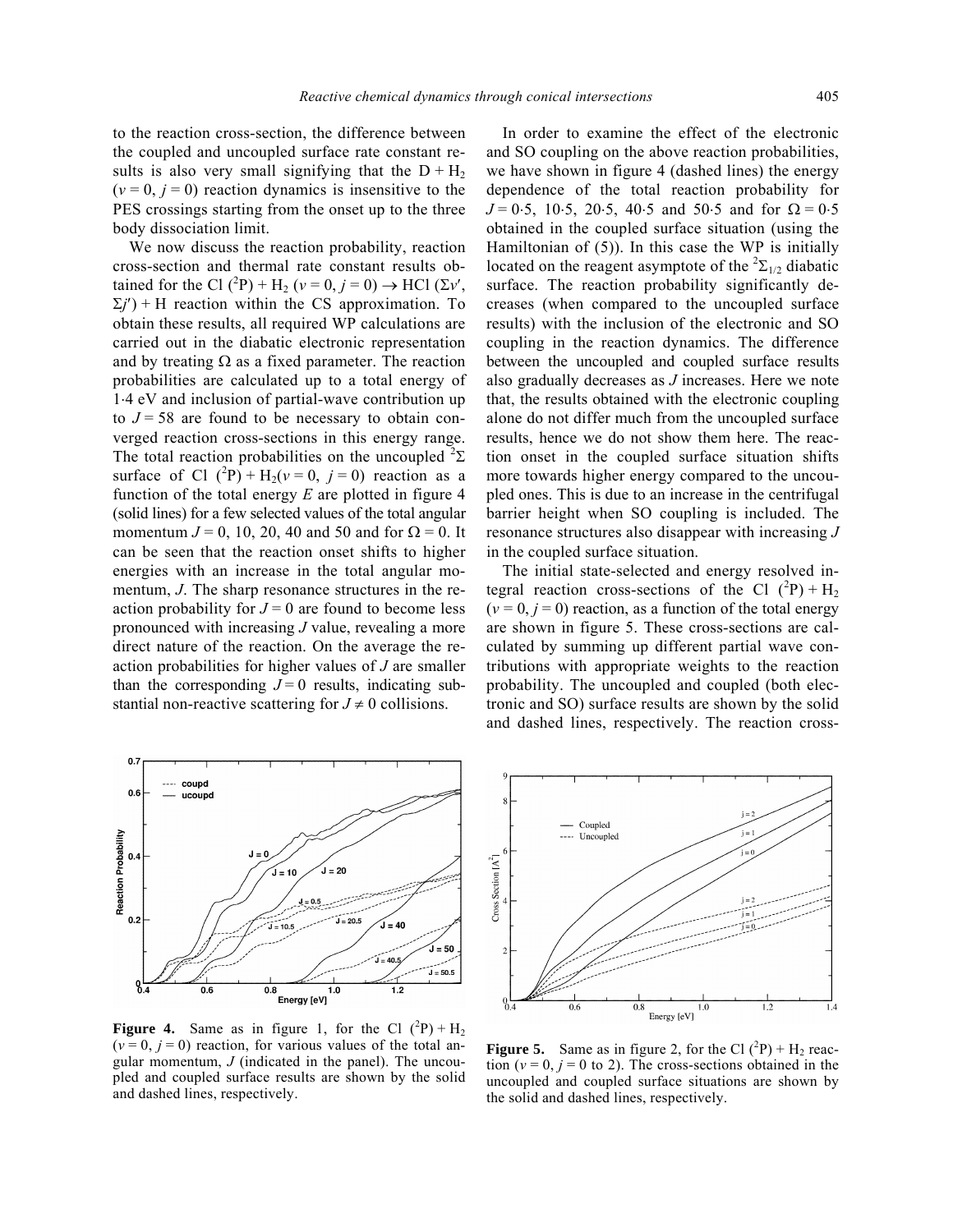to the reaction cross-section, the difference between the coupled and uncoupled surface rate constant results is also very small signifying that the  $D + H_2$  $(v = 0, j = 0)$  reaction dynamics is insensitive to the PES crossings starting from the onset up to the three body dissociation limit.

 We now discuss the reaction probability, reaction cross-section and thermal rate constant results obtained for the Cl  $(^{2}P) + H_2$  ( $v = 0, j = 0$ )  $\rightarrow$  HCl (Σ*v'*,  $\Sigma j'$ ) + H reaction within the CS approximation. To obtain these results, all required WP calculations are carried out in the diabatic electronic representation and by treating  $\Omega$  as a fixed parameter. The reaction probabilities are calculated up to a total energy of 1⋅4 eV and inclusion of partial-wave contribution up to  $J = 58$  are found to be necessary to obtain converged reaction cross-sections in this energy range. The total reaction probabilities on the uncoupled  ${}^{2}\Sigma$ surface of Cl  $(^{2}P) + H_{2}(v = 0, j = 0)$  reaction as a function of the total energy *E* are plotted in figure 4 (solid lines) for a few selected values of the total angular momentum  $J = 0$ , 10, 20, 40 and 50 and for  $\Omega = 0$ . It can be seen that the reaction onset shifts to higher energies with an increase in the total angular momentum, *J*. The sharp resonance structures in the reaction probability for  $J = 0$  are found to become less pronounced with increasing *J* value, revealing a more direct nature of the reaction. On the average the reaction probabilities for higher values of *J* are smaller than the corresponding  $J=0$  results, indicating substantial non-reactive scattering for  $J \neq 0$  collisions.

 In order to examine the effect of the electronic and SO coupling on the above reaction probabilities, we have shown in figure 4 (dashed lines) the energy dependence of the total reaction probability for  $J = 0.5$ , 10⋅5, 20⋅5, 40⋅5 and 50⋅5 and for  $\Omega = 0.5$ obtained in the coupled surface situation (using the Hamiltonian of (5)). In this case the WP is initially located on the reagent asymptote of the  ${}^{2}\Sigma_{1/2}$  diabatic surface. The reaction probability significantly decreases (when compared to the uncoupled surface results) with the inclusion of the electronic and SO coupling in the reaction dynamics. The difference between the uncoupled and coupled surface results also gradually decreases as *J* increases. Here we note that, the results obtained with the electronic coupling alone do not differ much from the uncoupled surface results, hence we do not show them here. The reaction onset in the coupled surface situation shifts more towards higher energy compared to the uncoupled ones. This is due to an increase in the centrifugal barrier height when SO coupling is included. The resonance structures also disappear with increasing *J* in the coupled surface situation.

 The initial state-selected and energy resolved integral reaction cross-sections of the Cl  $(^{2}P) + H_{2}$  $(v = 0, j = 0)$  reaction, as a function of the total energy are shown in figure 5. These cross-sections are calculated by summing up different partial wave contributions with appropriate weights to the reaction probability. The uncoupled and coupled (both electronic and SO) surface results are shown by the solid and dashed lines, respectively. The reaction cross-



**Figure 4.** Same as in figure 1, for the Cl  $(^{2}P) + H_2$  $(v = 0, j = 0)$  reaction, for various values of the total angular momentum, *J* (indicated in the panel). The uncoupled and coupled surface results are shown by the solid and dashed lines, respectively.



**Figure 5.** Same as in figure 2, for the Cl  $(^{2}P) + H_2$  reaction ( $v = 0$ ,  $j = 0$  to 2). The cross-sections obtained in the uncoupled and coupled surface situations are shown by the solid and dashed lines, respectively.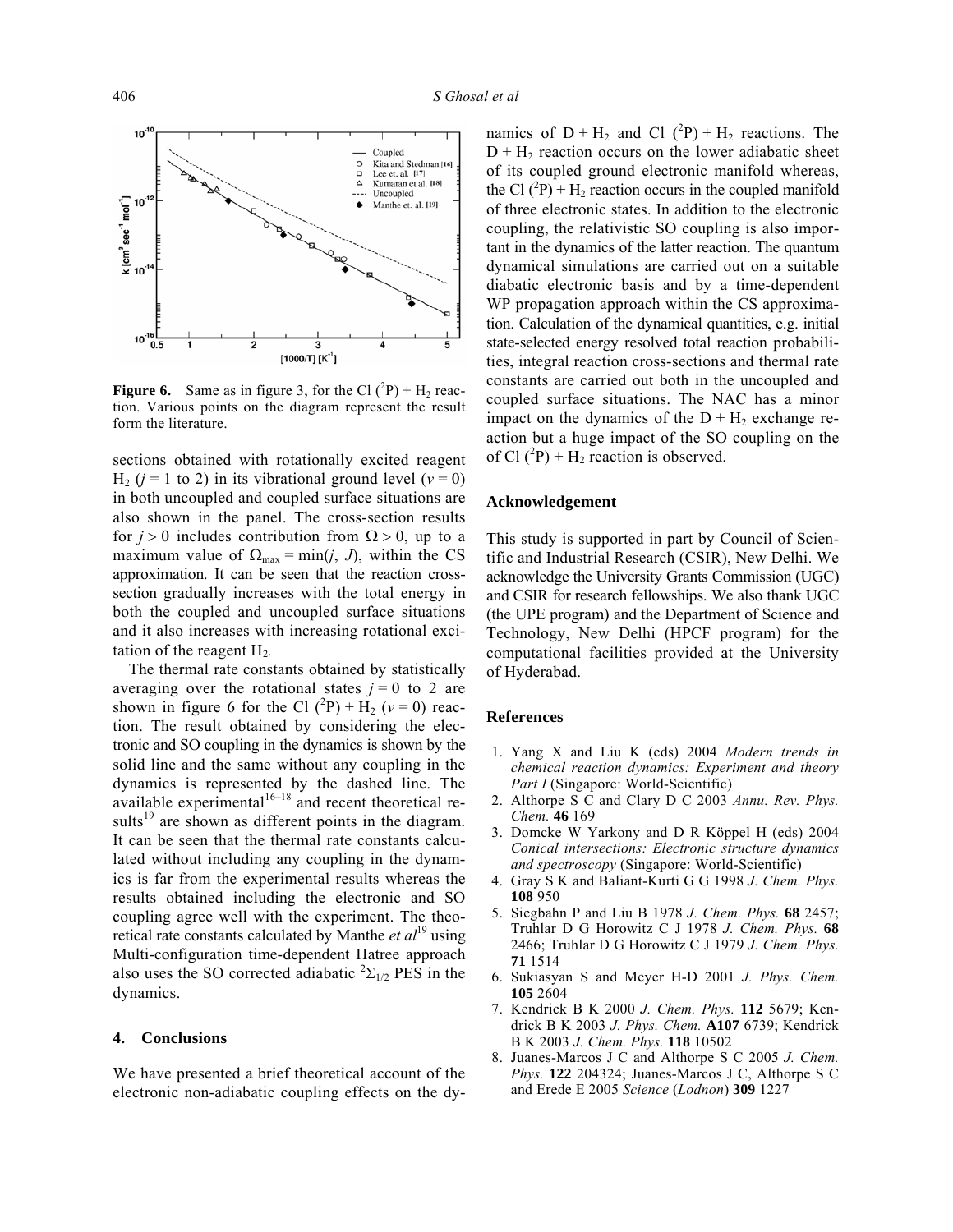

**Figure 6.** Same as in figure 3, for the Cl  $(^{2}P) + H_2$  reaction. Various points on the diagram represent the result form the literature.

sections obtained with rotationally excited reagent  $H_2$  ( $j = 1$  to 2) in its vibrational ground level ( $v = 0$ ) in both uncoupled and coupled surface situations are also shown in the panel. The cross-section results for  $j > 0$  includes contribution from  $\Omega > 0$ , up to a maximum value of  $\Omega_{\text{max}} = \min(j, J)$ , within the CS approximation. It can be seen that the reaction crosssection gradually increases with the total energy in both the coupled and uncoupled surface situations and it also increases with increasing rotational excitation of the reagent H2*.*

 The thermal rate constants obtained by statistically averaging over the rotational states  $j = 0$  to 2 are shown in figure 6 for the Cl  $(^{2}P) + H_{2}$  ( $v = 0$ ) reaction. The result obtained by considering the electronic and SO coupling in the dynamics is shown by the solid line and the same without any coupling in the dynamics is represented by the dashed line. The available experimental $16-18$  and recent theoretical results<sup>19</sup> are shown as different points in the diagram. It can be seen that the thermal rate constants calculated without including any coupling in the dynamics is far from the experimental results whereas the results obtained including the electronic and SO coupling agree well with the experiment. The theoretical rate constants calculated by Manthe *et al*19 using Multi-configuration time-dependent Hatree approach also uses the SO corrected adiabatic  ${}^{2}\Sigma_{1/2}$  PES in the dynamics.

#### **4. Conclusions**

We have presented a brief theoretical account of the electronic non-adiabatic coupling effects on the dy-

namics of  $D + H_2$  and Cl  $(^2P) + H_2$  reactions. The  $D + H<sub>2</sub>$  reaction occurs on the lower adiabatic sheet of its coupled ground electronic manifold whereas, the Cl  $(^{2}P)$  + H<sub>2</sub> reaction occurs in the coupled manifold of three electronic states. In addition to the electronic coupling, the relativistic SO coupling is also important in the dynamics of the latter reaction. The quantum dynamical simulations are carried out on a suitable diabatic electronic basis and by a time-dependent WP propagation approach within the CS approximation. Calculation of the dynamical quantities, e.g. initial state-selected energy resolved total reaction probabilities, integral reaction cross-sections and thermal rate constants are carried out both in the uncoupled and coupled surface situations. The NAC has a minor impact on the dynamics of the  $D + H_2$  exchange reaction but a huge impact of the SO coupling on the of Cl  $(^{2}P)$  + H<sub>2</sub> reaction is observed.

## **Acknowledgement**

This study is supported in part by Council of Scientific and Industrial Research (CSIR), New Delhi. We acknowledge the University Grants Commission (UGC) and CSIR for research fellowships. We also thank UGC (the UPE program) and the Department of Science and Technology, New Delhi (HPCF program) for the computational facilities provided at the University of Hyderabad.

## **References**

- 1. Yang X and Liu K (eds) 2004 *Modern trends in chemical reaction dynamics: Experiment and theory Part I* (Singapore: World-Scientific)
- 2. Althorpe S C and Clary D C 2003 *Annu. Rev. Phys. Chem.* **46** 169
- 3. Domcke W Yarkony and D R Köppel H (eds) 2004 *Conical intersections: Electronic structure dynamics and spectroscopy* (Singapore: World-Scientific)
- 4. Gray S K and Baliant-Kurti G G 1998 *J. Chem. Phys.* **108** 950
- 5. Siegbahn P and Liu B 1978 *J. Chem. Phys.* **68** 2457; Truhlar D G Horowitz C J 1978 *J. Chem. Phys.* **68** 2466; Truhlar D G Horowitz C J 1979 *J. Chem. Phys.* **71** 1514
- 6. Sukiasyan S and Meyer H-D 2001 *J. Phys. Chem.* **105** 2604
- 7. Kendrick B K 2000 *J. Chem. Phys.* **112** 5679; Kendrick B K 2003 *J. Phys. Chem.* **A107** 6739; Kendrick B K 2003 *J. Chem. Phys.* **118** 10502
- 8. Juanes-Marcos J C and Althorpe S C 2005 *J. Chem. Phys.* **122** 204324; Juanes-Marcos J C, Althorpe S C and Erede E 2005 *Science* (*Lodnon*) **309** 1227